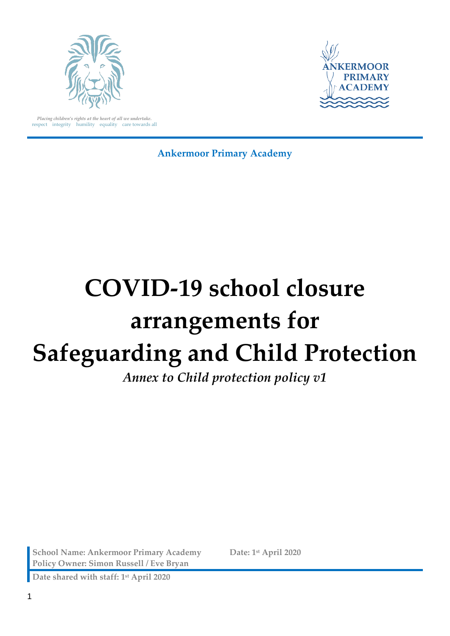



*Placing children's rights at the heart of all we undertake.* respect integrity humility equality care towards all

**Ankermoor Primary Academy**

# **COVID-19 school closure arrangements for Safeguarding and Child Protection**

*Annex to Child protection policy v1*

**School Name: Ankermoor Primary Academy Date: 1st April 2020 Policy Owner: Simon Russell / Eve Bryan**

**Date shared with staff: 1st April 2020**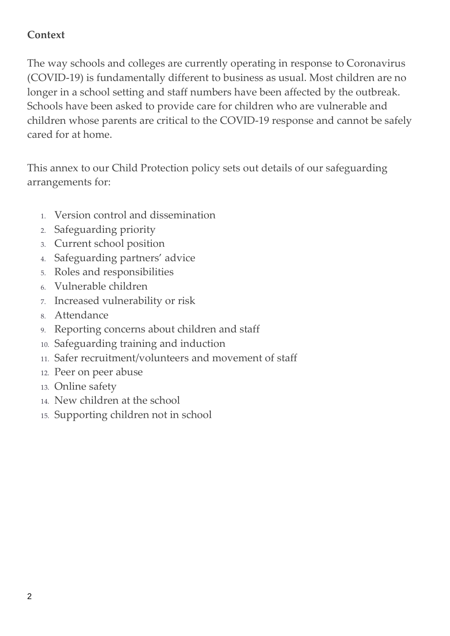## **Context**

The way schools and colleges are currently operating in response to Coronavirus (COVID-19) is fundamentally different to business as usual. Most children are no longer in a school setting and staff numbers have been affected by the outbreak. Schools have been asked to provide care for children who are vulnerable and children whose parents are critical to the COVID-19 response and cannot be safely cared for at home.

This annex to our Child Protection policy sets out details of our safeguarding arrangements for:

- 1. Version control and dissemination
- 2. Safeguarding priority
- 3. Current school position
- 4. Safeguarding partners' advice
- 5. Roles and responsibilities
- 6. Vulnerable children
- 7. Increased vulnerability or risk
- 8. Attendance
- 9. Reporting concerns about children and staff
- 10. Safeguarding training and induction
- 11. Safer recruitment/volunteers and movement of staff
- 12. Peer on peer abuse
- 13. Online safety
- 14. New children at the school
- 15. Supporting children not in school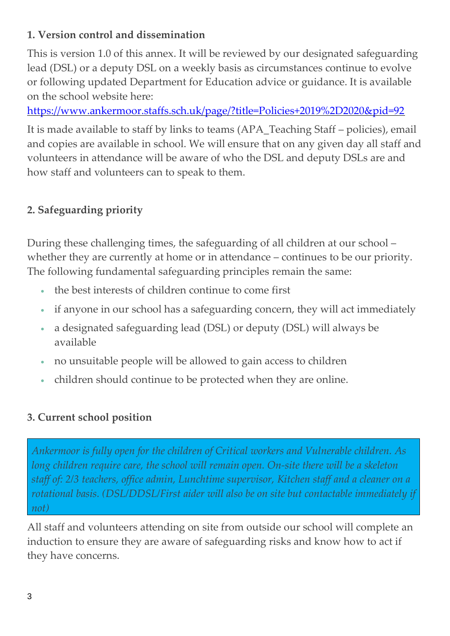## **1. Version control and dissemination**

This is version 1.0 of this annex. It will be reviewed by our designated safeguarding lead (DSL) or a deputy DSL on a weekly basis as circumstances continue to evolve or following updated Department for Education advice or guidance. It is available on the school website here:

<https://www.ankermoor.staffs.sch.uk/page/?title=Policies+2019%2D2020&pid=92>

It is made available to staff by links to teams (APA\_Teaching Staff – policies), email and copies are available in school. We will ensure that on any given day all staff and volunteers in attendance will be aware of who the DSL and deputy DSLs are and how staff and volunteers can to speak to them.

## **2. Safeguarding priority**

During these challenging times, the safeguarding of all children at our school – whether they are currently at home or in attendance – continues to be our priority. The following fundamental safeguarding principles remain the same:

- the best interests of children continue to come first
- if anyone in our school has a safeguarding concern, they will act immediately
- a designated safeguarding lead (DSL) or deputy (DSL) will always be available
- no unsuitable people will be allowed to gain access to children
- children should continue to be protected when they are online.

## **3. Current school position**

*Ankermoor is fully open for the children of Critical workers and Vulnerable children. As long children require care, the school will remain open. On-site there will be a skeleton staff of: 2/3 teachers, office admin, Lunchtime supervisor, Kitchen staff and a cleaner on a rotational basis. (DSL/DDSL/First aider will also be on site but contactable immediately if not)*

All staff and volunteers attending on site from outside our school will complete an induction to ensure they are aware of safeguarding risks and know how to act if they have concerns.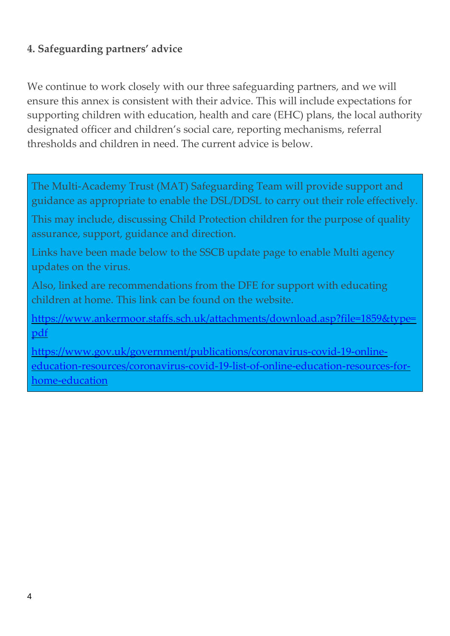## **4. Safeguarding partners' advice**

We continue to work closely with our three safeguarding partners, and we will ensure this annex is consistent with their advice. This will include expectations for supporting children with education, health and care (EHC) plans, the local authority designated officer and children's social care, reporting mechanisms, referral thresholds and children in need. The current advice is below.

The Multi-Academy Trust (MAT) Safeguarding Team will provide support and guidance as appropriate to enable the DSL/DDSL to carry out their role effectively.

This may include, discussing Child Protection children for the purpose of quality assurance, support, guidance and direction.

Links have been made below to the SSCB update page to enable Multi agency updates on the virus.

Also, linked are recommendations from the DFE for support with educating children at home. This link can be found on the website.

[https://www.ankermoor.staffs.sch.uk/attachments/download.asp?file=1859&type=](https://www.ankermoor.staffs.sch.uk/attachments/download.asp?file=1859&type=pdf) [pdf](https://www.ankermoor.staffs.sch.uk/attachments/download.asp?file=1859&type=pdf)

[https://www.gov.uk/government/publications/coronavirus-covid-19-online](https://www.gov.uk/government/publications/coronavirus-covid-19-online-education-resources/coronavirus-covid-19-list-of-online-education-resources-for-home-education)[education-resources/coronavirus-covid-19-list-of-online-education-resources-for](https://www.gov.uk/government/publications/coronavirus-covid-19-online-education-resources/coronavirus-covid-19-list-of-online-education-resources-for-home-education)[home-education](https://www.gov.uk/government/publications/coronavirus-covid-19-online-education-resources/coronavirus-covid-19-list-of-online-education-resources-for-home-education)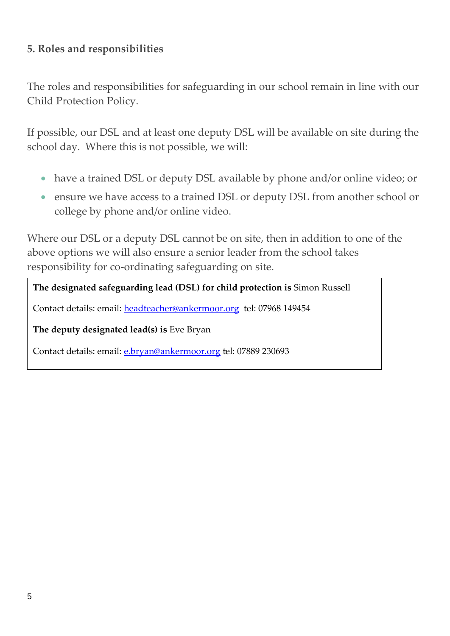#### **5. Roles and responsibilities**

The roles and responsibilities for safeguarding in our school remain in line with our Child Protection Policy.

If possible, our DSL and at least one deputy DSL will be available on site during the school day. Where this is not possible, we will:

- have a trained DSL or deputy DSL available by phone and/or online video; or
- ensure we have access to a trained DSL or deputy DSL from another school or college by phone and/or online video.

Where our DSL or a deputy DSL cannot be on site, then in addition to one of the above options we will also ensure a senior leader from the school takes responsibility for co-ordinating safeguarding on site.

#### **The designated safeguarding lead (DSL) for child protection is** Simon Russell

Contact details: email: [headteacher@ankermoor.org](mailto:headteacher@ankermoor.org) tel: 07968 149454

**The deputy designated lead(s) is** Eve Bryan

Contact details: email: [e.bryan@ankermoor.org](mailto:e.bryan@ankermoor.org) tel: 07889 230693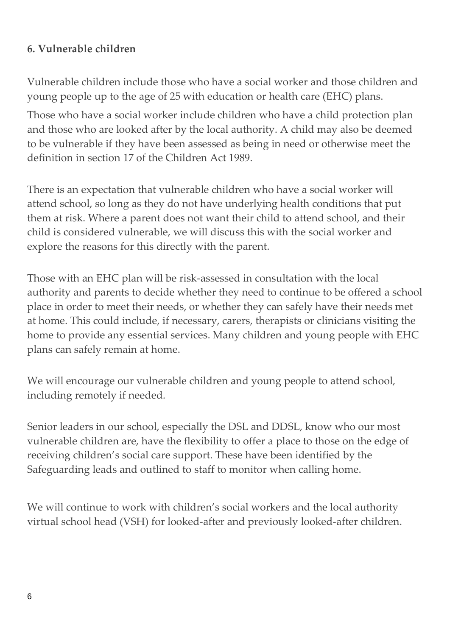#### **6. Vulnerable children**

Vulnerable children include those who have a social worker and those children and young people up to the age of 25 with education or health care (EHC) plans.

Those who have a social worker include children who have a child protection plan and those who are looked after by the local authority. A child may also be deemed to be vulnerable if they have been assessed as being in need or otherwise meet the definition in section 17 of the Children Act 1989.

There is an expectation that vulnerable children who have a social worker will attend school, so long as they do not have underlying health conditions that put them at risk. Where a parent does not want their child to attend school, and their child is considered vulnerable, we will discuss this with the social worker and explore the reasons for this directly with the parent.

Those with an EHC plan will be risk-assessed in consultation with the local authority and parents to decide whether they need to continue to be offered a school place in order to meet their needs, or whether they can safely have their needs met at home. This could include, if necessary, carers, therapists or clinicians visiting the home to provide any essential services. Many children and young people with EHC plans can safely remain at home.

We will encourage our vulnerable children and young people to attend school, including remotely if needed.

Senior leaders in our school, especially the DSL and DDSL, know who our most vulnerable children are, have the flexibility to offer a place to those on the edge of receiving children's social care support. These have been identified by the Safeguarding leads and outlined to staff to monitor when calling home.

We will continue to work with children's social workers and the local authority virtual school head (VSH) for looked-after and previously looked-after children.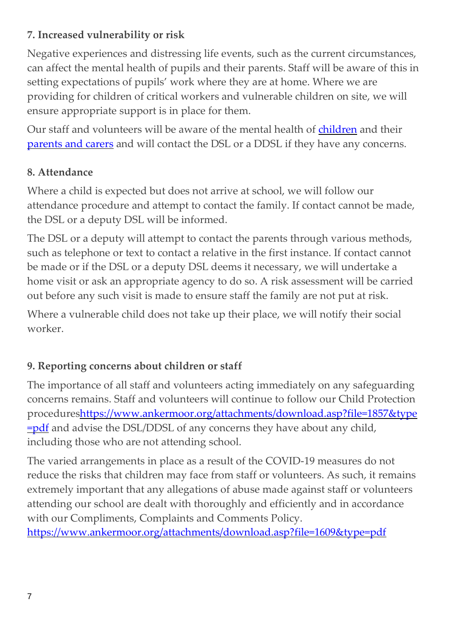## **7. Increased vulnerability or risk**

Negative experiences and distressing life events, such as the current circumstances, can affect the mental health of pupils and their parents. Staff will be aware of this in setting expectations of pupils' work where they are at home. Where we are providing for children of critical workers and vulnerable children on site, we will ensure appropriate support is in place for them.

Our staff and volunteers will be aware of the mental health of [children](https://safeguarding.network/safeguarding-resources/specific-risks-children-additional-needs/mental-health/) and their [parents](https://safeguarding.network/safeguarding-resources/parental-issues/parental-mental-ill-health/) and carers and will contact the DSL or a DDSL if they have any concerns.

## **8. Attendance**

Where a child is expected but does not arrive at school, we will follow our attendance procedure and attempt to contact the family. If contact cannot be made, the DSL or a deputy DSL will be informed.

The DSL or a deputy will attempt to contact the parents through various methods, such as telephone or text to contact a relative in the first instance. If contact cannot be made or if the DSL or a deputy DSL deems it necessary, we will undertake a home visit or ask an appropriate agency to do so. A risk assessment will be carried out before any such visit is made to ensure staff the family are not put at risk.

Where a vulnerable child does not take up their place, we will notify their social worker.

## **9. Reporting concerns about children or staff**

The importance of all staff and volunteers acting immediately on any safeguarding concerns remains. Staff and volunteers will continue to follow our Child Protection procedure[shttps://www.ankermoor.org/attachments/download.asp?file=1857&type](https://www.ankermoor.org/attachments/download.asp?file=1857&type=pdf) [=pdf](https://www.ankermoor.org/attachments/download.asp?file=1857&type=pdf) and advise the DSL/DDSL of any concerns they have about any child, including those who are not attending school.

The varied arrangements in place as a result of the COVID-19 measures do not reduce the risks that children may face from staff or volunteers. As such, it remains extremely important that any allegations of abuse made against staff or volunteers attending our school are dealt with thoroughly and efficiently and in accordance with our Compliments, Complaints and Comments Policy. <https://www.ankermoor.org/attachments/download.asp?file=1609&type=pdf>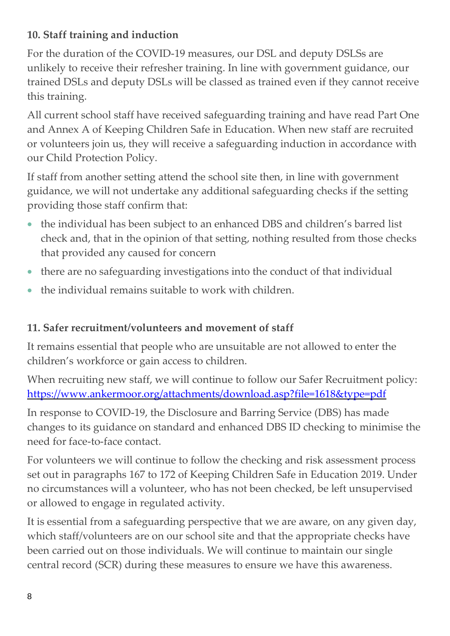## **10. Staff training and induction**

For the duration of the COVID-19 measures, our DSL and deputy DSLSs are unlikely to receive their refresher training. In line with government guidance, our trained DSLs and deputy DSLs will be classed as trained even if they cannot receive this training.

All current school staff have received safeguarding training and have read Part One and Annex A of Keeping Children Safe in Education. When new staff are recruited or volunteers join us, they will receive a safeguarding induction in accordance with our Child Protection Policy.

If staff from another setting attend the school site then, in line with government guidance, we will not undertake any additional safeguarding checks if the setting providing those staff confirm that:

- the individual has been subject to an enhanced DBS and children's barred list check and, that in the opinion of that setting, nothing resulted from those checks that provided any caused for concern
- there are no safeguarding investigations into the conduct of that individual
- the individual remains suitable to work with children.

## **11. Safer recruitment/volunteers and movement of staff**

It remains essential that people who are unsuitable are not allowed to enter the children's workforce or gain access to children.

When recruiting new staff, we will continue to follow our Safer Recruitment policy: <https://www.ankermoor.org/attachments/download.asp?file=1618&type=pdf>

In response to COVID-19, the Disclosure and Barring Service (DBS) has made changes to its guidance on standard and enhanced DBS ID checking to minimise the need for face-to-face contact.

For volunteers we will continue to follow the checking and risk assessment process set out in paragraphs 167 to 172 of Keeping Children Safe in Education 2019. Under no circumstances will a volunteer, who has not been checked, be left unsupervised or allowed to engage in regulated activity.

It is essential from a safeguarding perspective that we are aware, on any given day, which staff/volunteers are on our school site and that the appropriate checks have been carried out on those individuals. We will continue to maintain our single central record (SCR) during these measures to ensure we have this awareness.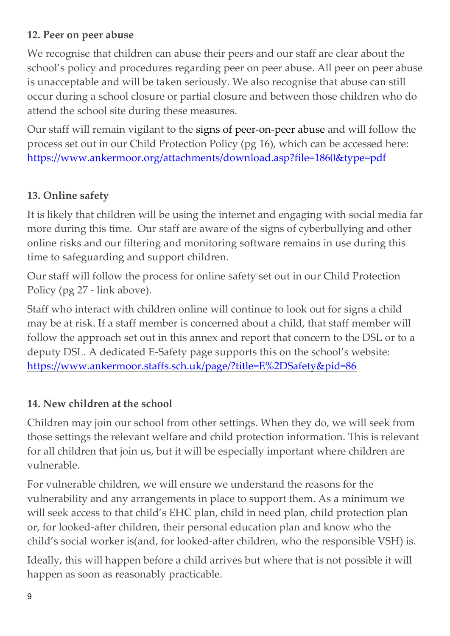## **12. Peer on peer abuse**

We recognise that children can abuse their peers and our staff are clear about the school's policy and procedures regarding peer on peer abuse. All peer on peer abuse is unacceptable and will be taken seriously. We also recognise that abuse can still occur during a school closure or partial closure and between those children who do attend the school site during these measures.

Our staff will remain vigilant to the signs of [peer-on-peer](file:///C:/Users/Christine/AppData/Local/Microsoft/Windows/INetCache/Content.Outlook/0CGV3O2R/safeguarding.network/peer-on-peer) abuse and will follow the process set out in our Child Protection Policy (pg 16), which can be accessed here: <https://www.ankermoor.org/attachments/download.asp?file=1860&type=pdf>

## **13. Online safety**

It is likely that children will be using the internet and engaging with social media far more during this time. Our staff are aware of the signs of cyberbullying and other online risks and our filtering and monitoring software remains in use during this time to safeguarding and support children.

Our staff will follow the process for online safety set out in our Child Protection Policy (pg 27 - link above).

Staff who interact with children online will continue to look out for signs a child may be at risk. If a staff member is concerned about a child, that staff member will follow the approach set out in this annex and report that concern to the DSL or to a deputy DSL. A dedicated E-Safety page supports this on the school's website: <https://www.ankermoor.staffs.sch.uk/page/?title=E%2DSafety&pid=86>

## **14. New children at the school**

Children may join our school from other settings. When they do, we will seek from those settings the relevant welfare and child protection information. This is relevant for all children that join us, but it will be especially important where children are vulnerable.

For vulnerable children, we will ensure we understand the reasons for the vulnerability and any arrangements in place to support them. As a minimum we will seek access to that child's EHC plan, child in need plan, child protection plan or, for looked-after children, their personal education plan and know who the child's social worker is(and, for looked-after children, who the responsible VSH) is.

Ideally, this will happen before a child arrives but where that is not possible it will happen as soon as reasonably practicable.